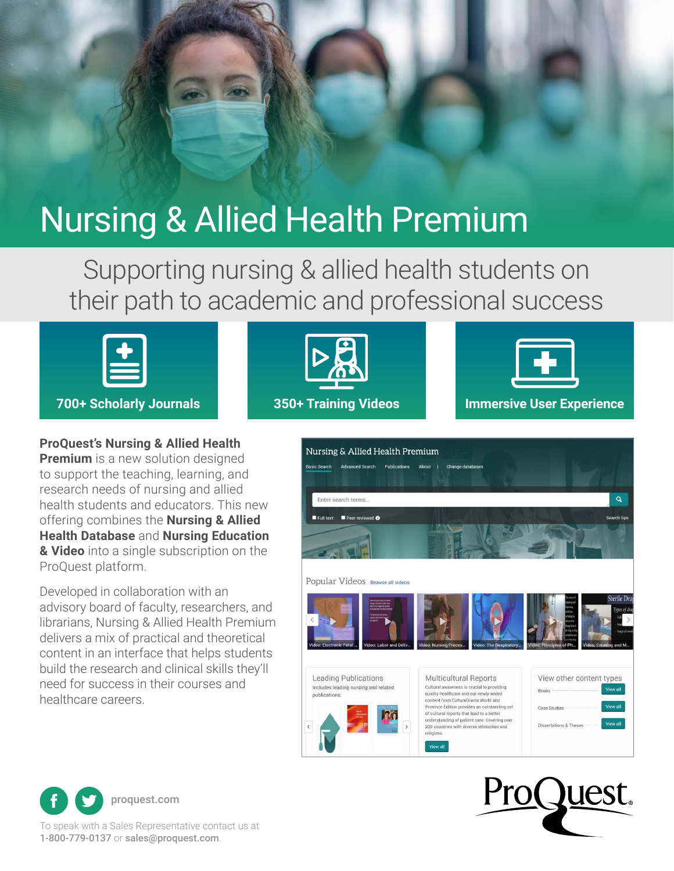# Nursing & Allied Health Premium

Supporting nursing & allied health students on their path to academic and professional success



#### **ProQuest's Nursing & Allied Health**

**Premium** is a new solution designed to support the teaching, learning, and research needs of nursing and allied health students and educators. This new offering combines the **Nursing & Allied Health Database** and **Nursing Education & Video** into a single subscription on the ProQuest platform.

Developed in collaboration with an advisory board of faculty, researchers, and librarians, Nursing & Allied Health Premium delivers a mix of practical and theoretical content in an interface that helps students build the research and clinical skills they'll need for success in their courses and healthcare careers.











1-800-779-0137 or [sales@proquest.com](mailto:sales@proquest.com).